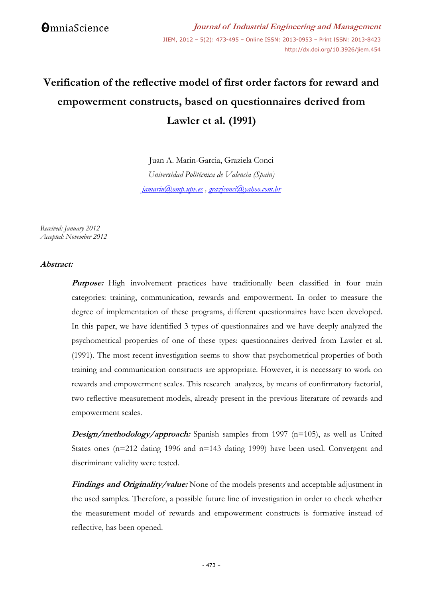# **Verification of the reflective model of first order factors for reward and empowerment constructs, based on questionnaires derived from Lawler et al. (1991)**

Juan A. Marin-Garcia, Graziela Conci *Universidad Politécnica de Valencia (Spain) [jamarin@omp.upv.es](mailto:jamarin@omp.upv.es) , [graziconci@yahoo.com.br](mailto:graziconci@yahoo.com.br)*

*Received: January 2012 Accepted: November 2012*

## **Abstract:**

**Purpose:** High involvement practices have traditionally been classified in four main categories: training, communication, rewards and empowerment. In order to measure the degree of implementation of these programs, different questionnaires have been developed. In this paper, we have identified 3 types of questionnaires and we have deeply analyzed the psychometrical properties of one of these types: questionnaires derived from Lawler et al. (1991). The most recent investigation seems to show that psychometrical properties of both training and communication constructs are appropriate. However, it is necessary to work on rewards and empowerment scales. This research analyzes, by means of confirmatory factorial, two reflective measurement models, already present in the previous literature of rewards and empowerment scales.

**Design/methodology/approach:** Spanish samples from 1997 (n=105), as well as United States ones (n=212 dating 1996 and n=143 dating 1999) have been used. Convergent and discriminant validity were tested.

**Findings and Originality/value:** None of the models presents and acceptable adjustment in the used samples. Therefore, a possible future line of investigation in order to check whether the measurement model of rewards and empowerment constructs is formative instead of reflective, has been opened.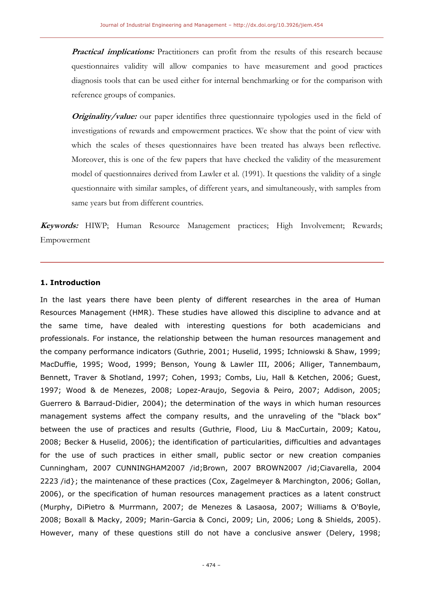**Practical implications:** Practitioners can profit from the results of this research because questionnaires validity will allow companies to have measurement and good practices diagnosis tools that can be used either for internal benchmarking or for the comparison with reference groups of companies.

**Originality/value:** our paper identifies three questionnaire typologies used in the field of investigations of rewards and empowerment practices. We show that the point of view with which the scales of theses questionnaires have been treated has always been reflective. Moreover, this is one of the few papers that have checked the validity of the measurement model of questionnaires derived from Lawler et al. (1991). It questions the validity of a single questionnaire with similar samples, of different years, and simultaneously, with samples from same years but from different countries.

**Keywords:** HIWP; Human Resource Management practices; High Involvement; Rewards; Empowerment

#### **1. Introduction**

In the last years there have been plenty of different researches in the area of Human Resources Management (HMR). These studies have allowed this discipline to advance and at the same time, have dealed with interesting questions for both academicians and professionals. For instance, the relationship between the human resources management and the company performance indicators (Guthrie, 2001; Huselid, 1995; Ichniowski & Shaw, 1999; MacDuffie, 1995; Wood, 1999; Benson, Young & Lawler III, 2006; Alliger, Tannembaum, Bennett, Traver & Shotland, 1997; Cohen, 1993; Combs, Liu, Hall & Ketchen, 2006; Guest, 1997; Wood & de Menezes, 2008; Lopez-Araujo, Segovia & Peiro, 2007; Addison, 2005; Guerrero & Barraud-Didier, 2004); the determination of the ways in which human resources management systems affect the company results, and the unraveling of the "black box" between the use of practices and results (Guthrie, Flood, Liu & MacCurtain, 2009; Katou, 2008; Becker & Huselid, 2006); the identification of particularities, difficulties and advantages for the use of such practices in either small, public sector or new creation companies Cunningham, 2007 CUNNINGHAM2007 /id;Brown, 2007 BROWN2007 /id;Ciavarella, 2004 2223 /id}; the maintenance of these practices (Cox, Zagelmeyer & Marchington, 2006; Gollan, 2006), or the specification of human resources management practices as a latent construct (Murphy, DiPietro & Murrmann, 2007; de Menezes & Lasaosa, 2007; Williams & O'Boyle, 2008; Boxall & Macky, 2009; Marin-Garcia & Conci, 2009; Lin, 2006; Long & Shields, 2005). However, many of these questions still do not have a conclusive answer (Delery, 1998;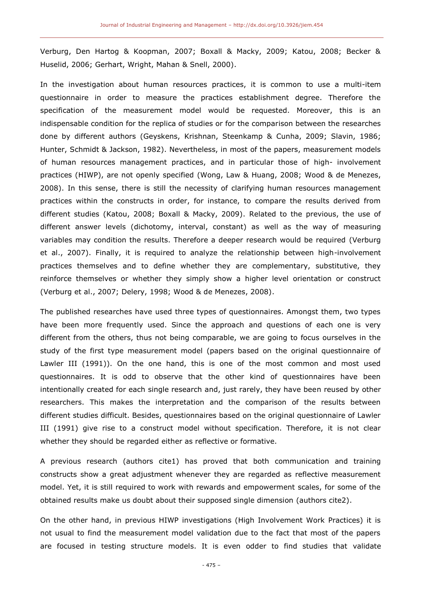Verburg, Den Hartog & Koopman, 2007; Boxall & Macky, 2009; Katou, 2008; Becker & Huselid, 2006; Gerhart, Wright, Mahan & Snell, 2000).

In the investigation about human resources practices, it is common to use a multi-item questionnaire in order to measure the practices establishment degree. Therefore the specification of the measurement model would be requested. Moreover, this is an indispensable condition for the replica of studies or for the comparison between the researches done by different authors (Geyskens, Krishnan, Steenkamp & Cunha, 2009; Slavin, 1986; Hunter, Schmidt & Jackson, 1982). Nevertheless, in most of the papers, measurement models of human resources management practices, and in particular those of high- involvement practices (HIWP), are not openly specified (Wong, Law & Huang, 2008; Wood & de Menezes, 2008). In this sense, there is still the necessity of clarifying human resources management practices within the constructs in order, for instance, to compare the results derived from different studies (Katou, 2008; Boxall & Macky, 2009). Related to the previous, the use of different answer levels (dichotomy, interval, constant) as well as the way of measuring variables may condition the results. Therefore a deeper research would be required (Verburg et al., 2007). Finally, it is required to analyze the relationship between high-involvement practices themselves and to define whether they are complementary, substitutive, they reinforce themselves or whether they simply show a higher level orientation or construct (Verburg et al., 2007; Delery, 1998; Wood & de Menezes, 2008).

The published researches have used three types of questionnaires. Amongst them, two types have been more frequently used. Since the approach and questions of each one is very different from the others, thus not being comparable, we are going to focus ourselves in the study of the first type measurement model (papers based on the original questionnaire of Lawler III (1991)). On the one hand, this is one of the most common and most used questionnaires. It is odd to observe that the other kind of questionnaires have been intentionally created for each single research and, just rarely, they have been reused by other researchers. This makes the interpretation and the comparison of the results between different studies difficult. Besides, questionnaires based on the original questionnaire of Lawler III (1991) give rise to a construct model without specification. Therefore, it is not clear whether they should be regarded either as reflective or formative.

A previous research (authors cite1) has proved that both communication and training constructs show a great adjustment whenever they are regarded as reflective measurement model. Yet, it is still required to work with rewards and empowerment scales, for some of the obtained results make us doubt about their supposed single dimension (authors cite2).

On the other hand, in previous HIWP investigations (High Involvement Work Practices) it is not usual to find the measurement model validation due to the fact that most of the papers are focused in testing structure models. It is even odder to find studies that validate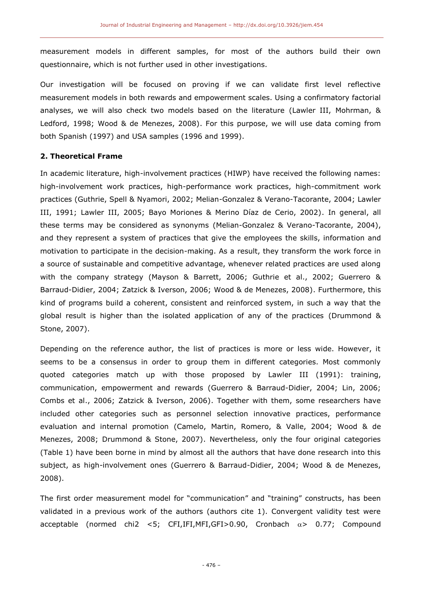measurement models in different samples, for most of the authors build their own questionnaire, which is not further used in other investigations.

Our investigation will be focused on proving if we can validate first level reflective measurement models in both rewards and empowerment scales. Using a confirmatory factorial analyses, we will also check two models based on the literature (Lawler III, Mohrman, & Ledford, 1998; Wood & de Menezes, 2008). For this purpose, we will use data coming from both Spanish (1997) and USA samples (1996 and 1999).

## **2. Theoretical Frame**

In academic literature, high-involvement practices (HIWP) have received the following names: high-involvement work practices, high-performance work practices, high-commitment work practices (Guthrie, Spell & Nyamori, 2002; Melian-Gonzalez & Verano-Tacorante, 2004; Lawler III, 1991; Lawler III, 2005; Bayo Moriones & Merino Díaz de Cerio, 2002). In general, all these terms may be considered as synonyms (Melian-Gonzalez & Verano-Tacorante, 2004), and they represent a system of practices that give the employees the skills, information and motivation to participate in the decision-making. As a result, they transform the work force in a source of sustainable and competitive advantage, whenever related practices are used along with the company strategy (Mayson & Barrett, 2006; Guthrie et al., 2002; Guerrero & Barraud-Didier, 2004; Zatzick & Iverson, 2006; Wood & de Menezes, 2008). Furthermore, this kind of programs build a coherent, consistent and reinforced system, in such a way that the global result is higher than the isolated application of any of the practices (Drummond & Stone, 2007).

Depending on the reference author, the list of practices is more or less wide. However, it seems to be a consensus in order to group them in different categories. Most commonly quoted categories match up with those proposed by Lawler III (1991): training, communication, empowerment and rewards (Guerrero & Barraud-Didier, 2004; Lin, 2006; Combs et al., 2006; Zatzick & Iverson, 2006). Together with them, some researchers have included other categories such as personnel selection innovative practices, performance evaluation and internal promotion (Camelo, Martin, Romero, & Valle, 2004; Wood & de Menezes, 2008; Drummond & Stone, 2007). Nevertheless, only the four original categories (Table 1) have been borne in mind by almost all the authors that have done research into this subject, as high-involvement ones (Guerrero & Barraud-Didier, 2004; Wood & de Menezes, 2008).

The first order measurement model for "communication" and "training" constructs, has been validated in a previous work of the authors (authors cite 1). Convergent validity test were acceptable (normed chi2 <5; CFI,IFI,MFI,GFI>0.90, Cronbach  $\alpha$ > 0.77; Compound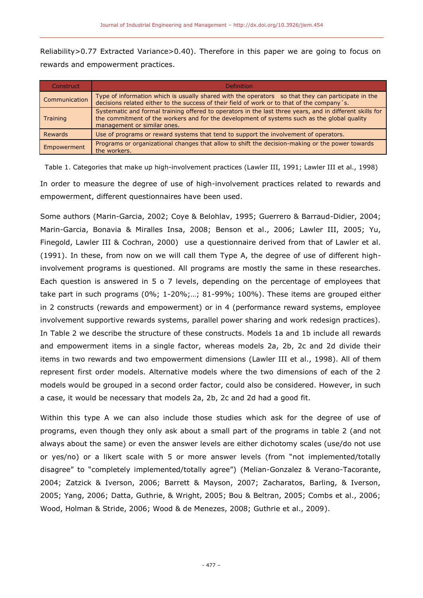Reliability>0.77 Extracted Variance>0.40). Therefore in this paper we are going to focus on rewards and empowerment practices.

| Construct     | Definition                                                                                                                                                                                                                             |
|---------------|----------------------------------------------------------------------------------------------------------------------------------------------------------------------------------------------------------------------------------------|
| Communication | Type of information which is usually shared with the operators so that they can participate in the<br>decisions related either to the success of their field of work or to that of the company's.                                      |
| Training      | Systematic and formal training offered to operators in the last three years, and in different skills for<br>the commitment of the workers and for the development of systems such as the global quality<br>management or similar ones. |
| Rewards       | Use of programs or reward systems that tend to support the involvement of operators.                                                                                                                                                   |
| Empowerment   | Programs or organizational changes that allow to shift the decision-making or the power towards<br>the workers.                                                                                                                        |

Table 1. Categories that make up high-involvement practices (Lawler III, 1991; Lawler III et al., 1998) In order to measure the degree of use of high-involvement practices related to rewards and empowerment, different questionnaires have been used.

Some authors (Marin-Garcia, 2002; Coye & Belohlav, 1995; Guerrero & Barraud-Didier, 2004; Marin-Garcia, Bonavia & Miralles Insa, 2008; Benson et al., 2006; Lawler III, 2005; Yu, Finegold, Lawler III & Cochran, 2000) use a questionnaire derived from that of Lawler et al. (1991). In these, from now on we will call them Type A, the degree of use of different highinvolvement programs is questioned. All programs are mostly the same in these researches. Each question is answered in 5 o 7 levels, depending on the percentage of employees that take part in such programs (0%; 1-20%;…; 81-99%; 100%). These items are grouped either in 2 constructs (rewards and empowerment) or in 4 (performance reward systems, employee involvement supportive rewards systems, parallel power sharing and work redesign practices). In Table 2 we describe the structure of these constructs. Models 1a and 1b include all rewards and empowerment items in a single factor, whereas models 2a, 2b, 2c and 2d divide their items in two rewards and two empowerment dimensions (Lawler III et al., 1998). All of them represent first order models. Alternative models where the two dimensions of each of the 2 models would be grouped in a second order factor, could also be considered. However, in such a case, it would be necessary that models 2a, 2b, 2c and 2d had a good fit.

Within this type A we can also include those studies which ask for the degree of use of programs, even though they only ask about a small part of the programs in table 2 (and not always about the same) or even the answer levels are either dichotomy scales (use/do not use or yes/no) or a likert scale with 5 or more answer levels (from "not implemented/totally disagree" to "completely implemented/totally agree") (Melian-Gonzalez & Verano-Tacorante, 2004; Zatzick & Iverson, 2006; Barrett & Mayson, 2007; Zacharatos, Barling, & Iverson, 2005; Yang, 2006; Datta, Guthrie, & Wright, 2005; Bou & Beltran, 2005; Combs et al., 2006; Wood, Holman & Stride, 2006; Wood & de Menezes, 2008; Guthrie et al., 2009).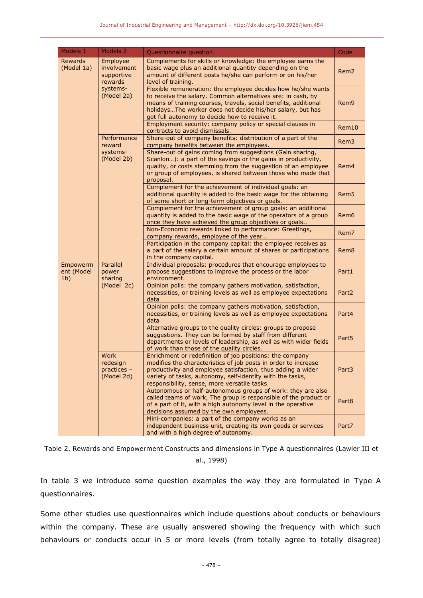| Models 1                                 | Models 2                                         | Questionnaire question                                                                                                                                                                                                                                                                                         | Code              |  |  |  |
|------------------------------------------|--------------------------------------------------|----------------------------------------------------------------------------------------------------------------------------------------------------------------------------------------------------------------------------------------------------------------------------------------------------------------|-------------------|--|--|--|
| <b>Rewards</b><br>(Model 1a)             | Employee<br>involvement<br>supportive<br>rewards | Complements for skills or knowledge: the employee earns the<br>basic wage plus an additional quantity depending on the<br>amount of different posts he/she can perform or on his/her<br>level of training.                                                                                                     | Rem <sub>2</sub>  |  |  |  |
|                                          | systems-<br>(Model 2a)                           | Flexible remuneration: the employee decides how he/she wants<br>to receive the salary. Common alternatives are: in cash, by<br>means of training courses, travels, social benefits, additional<br>holidaysThe worker does not decide his/her salary, but has<br>got full autonomy to decide how to receive it. | Rem <sub>9</sub>  |  |  |  |
|                                          |                                                  | Employment security: company policy or special clauses in<br>contracts to avoid dismissals.                                                                                                                                                                                                                    | Rem10             |  |  |  |
|                                          | Performance<br>reward                            | Share-out of company benefits: distribution of a part of the<br>company benefits between the employees.                                                                                                                                                                                                        | Rem <sub>3</sub>  |  |  |  |
|                                          | systems-<br>(Model 2b)                           | Share-out of gains coming from suggestions (Gain sharing,<br>Scanlon): a part of the savings or the gains in productivity,<br>quality, or costs stemming from the suggestion of an employee<br>or group of employees, is shared between those who made that<br>proposal.                                       | Rem4              |  |  |  |
|                                          |                                                  | Complement for the achievement of individual goals: an<br>additional quantity is added to the basic wage for the obtaining<br>of some short or long-term objectives or goals.                                                                                                                                  | Rem <sub>5</sub>  |  |  |  |
|                                          |                                                  | Complement for the achievement of group goals: an additional<br>quantity is added to the basic wage of the operators of a group<br>once they have achieved the group objectives or goals                                                                                                                       | Rem6              |  |  |  |
|                                          |                                                  | Non-Economic rewards linked to performance: Greetings,<br>company rewards, employee of the year                                                                                                                                                                                                                | Rem <sub>7</sub>  |  |  |  |
|                                          |                                                  | Participation in the company capital: the employee receives as<br>a part of the salary a certain amount of shares or participations<br>in the company capital.                                                                                                                                                 | Rem8              |  |  |  |
| Empowerm<br>ent (Model<br>1 <sub>b</sub> | Parallel<br>power<br>sharing                     | Individual proposals: procedures that encourage employees to<br>propose suggestions to improve the process or the labor<br>environment.                                                                                                                                                                        | Part1             |  |  |  |
|                                          | (Model 2c)                                       | Opinion polls: the company gathers motivation, satisfaction,<br>necessities, or training levels as well as employee expectations<br>data                                                                                                                                                                       | Part <sub>2</sub> |  |  |  |
|                                          |                                                  | Opinion polls: the company gathers motivation, satisfaction,<br>necessities, or training levels as well as employee expectations<br>data                                                                                                                                                                       | Part4             |  |  |  |
|                                          |                                                  | Alternative groups to the quality circles: groups to propose<br>suggestions. They can be formed by staff from different<br>departments or levels of leadership, as well as with wider fields<br>of work than those of the quality circles.                                                                     | Part <sub>5</sub> |  |  |  |
|                                          | Work<br>redesign<br>practices -<br>(Model 2d)    | Enrichment or redefinition of job positions: the company<br>modifies the characteristics of job posts in order to increase<br>productivity and employee satisfaction, thus adding a wider<br>variety of tasks, autonomy, self-identity with the tasks,<br>responsibility, sense, more versatile tasks.         |                   |  |  |  |
|                                          |                                                  | Autonomous or half-autonomous groups of work: they are also<br>called teams of work, The group is responsible of the product or<br>of a part of it, with a high autonomy level in the operative<br>decisions assumed by the own employees.                                                                     | Part8             |  |  |  |
|                                          |                                                  | Mini-companies: a part of the company works as an<br>independent business unit, creating its own goods or services<br>and with a high degree of autonomy.                                                                                                                                                      | Part7             |  |  |  |

Table 2. Rewards and Empowerment Constructs and dimensions in Type A questionnaires (Lawler III et

al., 1998)

In table 3 we introduce some question examples the way they are formulated in Type A questionnaires.

Some other studies use questionnaires which include questions about conducts or behaviours within the company. These are usually answered showing the frequency with which such behaviours or conducts occur in 5 or more levels (from totally agree to totally disagree)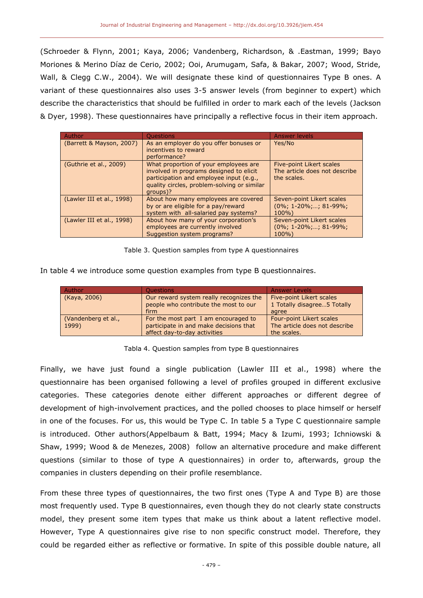(Schroeder & Flynn, 2001; Kaya, 2006; Vandenberg, Richardson, & .Eastman, 1999; Bayo Moriones & Merino Díaz de Cerio, 2002; Ooi, Arumugam, Safa, & Bakar, 2007; Wood, Stride, Wall, & Clegg C.W., 2004). We will designate these kind of questionnaires Type B ones. A variant of these questionnaires also uses 3-5 answer levels (from beginner to expert) which describe the characteristics that should be fulfilled in order to mark each of the levels (Jackson & Dyer, 1998). These questionnaires have principally a reflective focus in their item approach.

| Author                    | <b>Ouestions</b>                                                                                                                                                                       | Answer levels                                                            |
|---------------------------|----------------------------------------------------------------------------------------------------------------------------------------------------------------------------------------|--------------------------------------------------------------------------|
| (Barrett & Mayson, 2007)  | As an employer do you offer bonuses or<br>incentives to reward<br>performance?                                                                                                         | Yes/No                                                                   |
| (Guthrie et al., 2009)    | What proportion of your employees are<br>involved in programs designed to elicit<br>participation and employee input (e.g.,<br>quality circles, problem-solving or similar<br>groups)? | Five-point Likert scales<br>The article does not describe<br>the scales. |
| (Lawler III et al., 1998) | About how many employees are covered<br>by or are eligible for a pay/reward<br>system with all-salaried pay systems?                                                                   | Seven-point Likert scales<br>$(0\%; 1-20\%; \ldots; 81-99\%;$<br>$100\%$ |
| (Lawler III et al., 1998) | About how many of your corporation's<br>employees are currently involved<br>Suggestion system programs?                                                                                | Seven-point Likert scales<br>$(0\%; 1-20\%; \ldots; 81-99\%;$<br>$100\%$ |

#### Table 3. Question samples from type A questionnaires

In table 4 we introduce some question examples from type B questionnaires.

| Author                       | <b>Ouestions</b>                                                                                               | <b>Answer Levels</b>                                                            |
|------------------------------|----------------------------------------------------------------------------------------------------------------|---------------------------------------------------------------------------------|
| (Kaya, 2006)                 | Our reward system really recognizes the<br>people who contribute the most to our<br>firm                       | Five-point Likert scales<br>1 Totally disagree5 Totally<br>agree                |
| (Vandenberg et al.,<br>1999) | For the most part I am encouraged to<br>participate in and make decisions that<br>affect day-to-day activities | <b>Four-point Likert scales</b><br>The article does not describe<br>the scales. |

## Tabla 4. Question samples from type B questionnaires

Finally, we have just found a single publication (Lawler III et al., 1998) where the questionnaire has been organised following a level of profiles grouped in different exclusive categories. These categories denote either different approaches or different degree of development of high-involvement practices, and the polled chooses to place himself or herself in one of the focuses. For us, this would be Type C. In table 5 a Type C questionnaire sample is introduced. Other authors(Appelbaum & Batt, 1994; Macy & Izumi, 1993; Ichniowski & Shaw, 1999; Wood & de Menezes, 2008) follow an alternative procedure and make different questions (similar to those of type A questionnaires) in order to, afterwards, group the companies in clusters depending on their profile resemblance.

From these three types of questionnaires, the two first ones (Type A and Type B) are those most frequently used. Type B questionnaires, even though they do not clearly state constructs model, they present some item types that make us think about a latent reflective model. However, Type A questionnaires give rise to non specific construct model. Therefore, they could be regarded either as reflective or formative. In spite of this possible double nature, all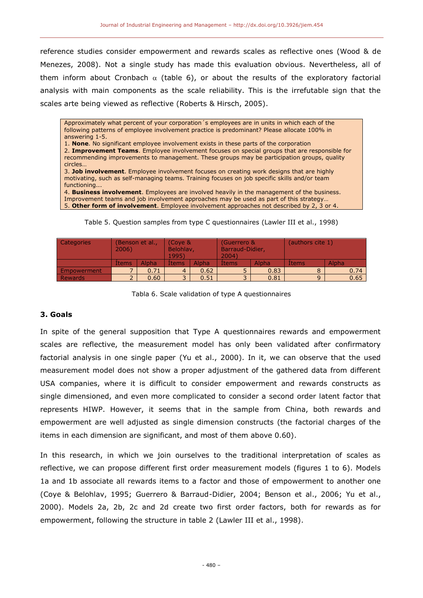reference studies consider empowerment and rewards scales as reflective ones (Wood & de Menezes, 2008). Not a single study has made this evaluation obvious. Nevertheless, all of them inform about Cronbach  $\alpha$  (table 6), or about the results of the exploratory factorial analysis with main components as the scale reliability. This is the irrefutable sign that the scales arte being viewed as reflective (Roberts & Hirsch, 2005).

Approximately what percent of your corporation´s employees are in units in which each of the following patterns of employee involvement practice is predominant? Please allocate 100% in answering 1-5. 1. **None**. No significant employee involvement exists in these parts of the corporation 2. **Improvement Teams**. Employee involvement focuses on special groups that are responsible for recommending improvements to management. These groups may be participation groups, quality circles… 3. **Job involvement**. Employee involvement focuses on creating work designs that are highly motivating, such as self-managing teams. Training focuses on job specific skills and/or team functioning... 4. **Business involvement**. Employees are involved heavily in the management of the business. Improvement teams and job involvement approaches may be used as part of this strategy… 5. **Other form of involvement**. Employee involvement approaches not described by 2, 3 or 4.

| Categories     | (Benson et al.,<br>2006) |       | (Coye &<br>Belohlav,<br>1995 |              | (Guerrero &<br>Barraud-Didier,<br>2004) |       | (authors cite 1) |       |  |
|----------------|--------------------------|-------|------------------------------|--------------|-----------------------------------------|-------|------------------|-------|--|
|                | Items.                   | Alpha | Items                        | <b>Alpha</b> | Items                                   | Alpha |                  | Alpha |  |
| Empowerment    |                          | 0.71  | 4                            | 0.62         | 0.83                                    |       |                  | 0.74  |  |
| <b>Rewards</b> | $\overline{\phantom{0}}$ | 0.60  | $\overline{\phantom{0}}$     | 0.51         | -                                       | 0.81  |                  | 0.65  |  |

Tabla 6. Scale validation of type A questionnaires

## **3. Goals**

In spite of the general supposition that Type A questionnaires rewards and empowerment scales are reflective, the measurement model has only been validated after confirmatory factorial analysis in one single paper (Yu et al., 2000). In it, we can observe that the used measurement model does not show a proper adjustment of the gathered data from different USA companies, where it is difficult to consider empowerment and rewards constructs as single dimensioned, and even more complicated to consider a second order latent factor that represents HIWP. However, it seems that in the sample from China, both rewards and empowerment are well adjusted as single dimension constructs (the factorial charges of the items in each dimension are significant, and most of them above 0.60).

In this research, in which we join ourselves to the traditional interpretation of scales as reflective, we can propose different first order measurement models (figures 1 to 6). Models 1a and 1b associate all rewards items to a factor and those of empowerment to another one (Coye & Belohlav, 1995; Guerrero & Barraud-Didier, 2004; Benson et al., 2006; Yu et al., 2000). Models 2a, 2b, 2c and 2d create two first order factors, both for rewards as for empowerment, following the structure in table 2 (Lawler III et al., 1998).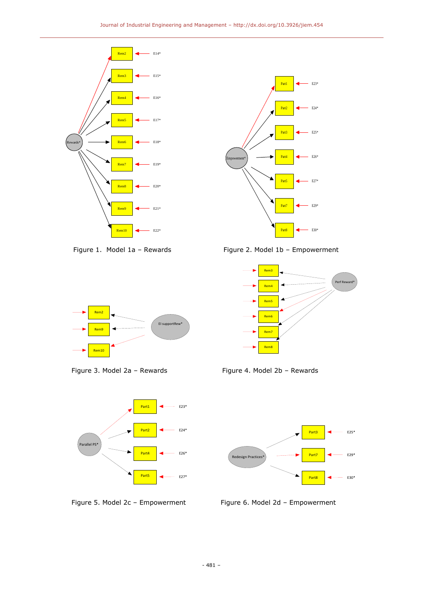



Figure 1. Model 1a – RewardsFigure 2. Model 1b – Empowerment









Figure 3. Model 2a - Rewards Figure 4. Model 2b - Rewards



Figure 5. Model 2c - Empowerment Figure 6. Model 2d - Empowerment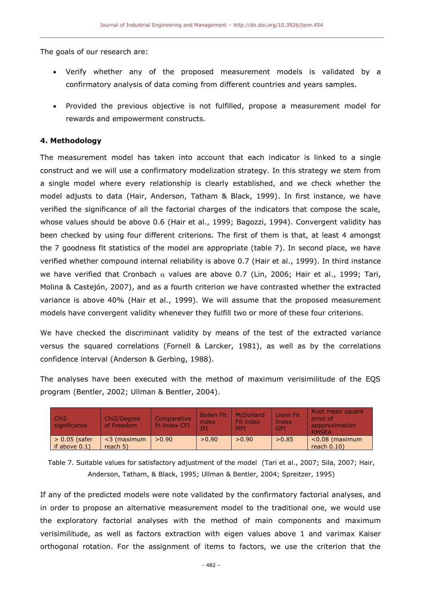The goals of our research are:

- Verify whether any of the proposed measurement models is validated by a confirmatory analysis of data coming from different countries and years samples.
- Provided the previous objective is not fulfilled, propose a measurement model for rewards and empowerment constructs.

# **4. Methodology**

The measurement model has taken into account that each indicator is linked to a single construct and we will use a confirmatory modelization strategy. In this strategy we stem from a single model where every relationship is clearly established, and we check whether the model adjusts to data (Hair, Anderson, Tatham & Black, 1999). In first instance, we have verified the significance of all the factorial charges of the indicators that compose the scale, whose values should be above 0.6 (Hair et al., 1999; Bagozzi, 1994). Convergent validity has been checked by using four different criterions. The first of them is that, at least 4 amongst the 7 goodness fit statistics of the model are appropriate (table 7). In second place, we have verified whether compound internal reliability is above 0.7 (Hair et al., 1999). In third instance we have verified that Cronbach  $\alpha$  values are above 0.7 (Lin, 2006; Hair et al., 1999; Tari, Molina & Castejón, 2007), and as a fourth criterion we have contrasted whether the extracted variance is above 40% (Hair et al., 1999). We will assume that the proposed measurement models have convergent validity whenever they fulfill two or more of these four criterions.

We have checked the discriminant validity by means of the test of the extracted variance versus the squared correlations (Fornell & Larcker, 1981), as well as by the correlations confidence interval (Anderson & Gerbing, 1988).

The analyses have been executed with the method of maximum verisimilitude of the EQS program (Bentler, 2002; Ullman & Bentler, 2004).

| Chi <sub>2</sub><br>significance    | Chi2/Degree<br>of Freedom    | Comparative<br>fit index CFI | <b>Bollen Fit</b><br>index<br>IFI | McDolland<br>Fit index<br><b>MFT</b> | <b>Lisrel Fit</b><br>Index<br><b>GFI</b> | Root mean square<br>error of<br>appproximation<br><b>RMSFA</b> |
|-------------------------------------|------------------------------|------------------------------|-----------------------------------|--------------------------------------|------------------------------------------|----------------------------------------------------------------|
| $> 0.05$ (safer<br>if above $0.1$ ) | $<$ 3 (maximum<br>reach $5)$ | >0.90                        | >0.90                             | >0.90                                | >0.85                                    | $< 0.08$ (maximum<br>reach $0.10$ )                            |

Table 7. Suitable values for satisfactory adjustment of the model (Tari et al., 2007; Sila, 2007; Hair, Anderson, Tatham, & Black, 1995; Ullman & Bentler, 2004; Spreitzer, 1995)

If any of the predicted models were note validated by the confirmatory factorial analyses, and in order to propose an alternative measurement model to the traditional one, we would use the exploratory factorial analyses with the method of main components and maximum verisimilitude, as well as factors extraction with eigen values above 1 and varimax Kaiser orthogonal rotation. For the assignment of items to factors, we use the criterion that the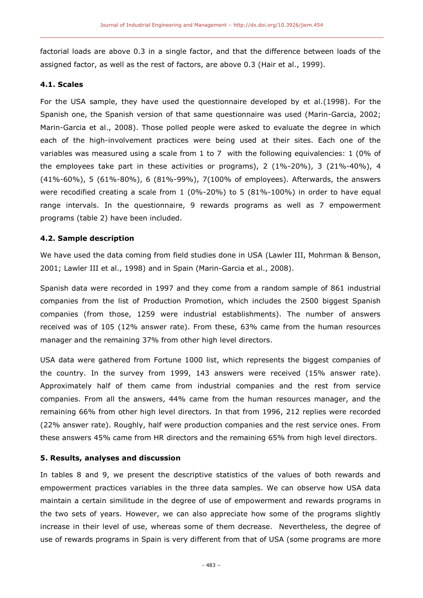factorial loads are above 0.3 in a single factor, and that the difference between loads of the assigned factor, as well as the rest of factors, are above 0.3 (Hair et al., 1999).

#### **4.1. Scales**

For the USA sample, they have used the questionnaire developed by et al.(1998). For the Spanish one, the Spanish version of that same questionnaire was used (Marin-Garcia, 2002; Marin-Garcia et al., 2008). Those polled people were asked to evaluate the degree in which each of the high-involvement practices were being used at their sites. Each one of the variables was measured using a scale from 1 to 7 with the following equivalencies: 1 (0% of the employees take part in these activities or programs), 2 (1%-20%), 3 (21%-40%), 4 (41%-60%), 5 (61%-80%), 6 (81%-99%), 7(100% of employees). Afterwards, the answers were recodified creating a scale from 1 (0%-20%) to 5 (81%-100%) in order to have equal range intervals. In the questionnaire, 9 rewards programs as well as 7 empowerment programs (table 2) have been included.

# **4.2. Sample description**

We have used the data coming from field studies done in USA (Lawler III, Mohrman & Benson, 2001; Lawler III et al., 1998) and in Spain (Marin-Garcia et al., 2008).

Spanish data were recorded in 1997 and they come from a random sample of 861 industrial companies from the list of Production Promotion, which includes the 2500 biggest Spanish companies (from those, 1259 were industrial establishments). The number of answers received was of 105 (12% answer rate). From these, 63% came from the human resources manager and the remaining 37% from other high level directors.

USA data were gathered from Fortune 1000 list, which represents the biggest companies of the country. In the survey from 1999, 143 answers were received (15% answer rate). Approximately half of them came from industrial companies and the rest from service companies. From all the answers, 44% came from the human resources manager, and the remaining 66% from other high level directors. In that from 1996, 212 replies were recorded (22% answer rate). Roughly, half were production companies and the rest service ones. From these answers 45% came from HR directors and the remaining 65% from high level directors.

## **5. Results, analyses and discussion**

In tables 8 and 9, we present the descriptive statistics of the values of both rewards and empowerment practices variables in the three data samples. We can observe how USA data maintain a certain similitude in the degree of use of empowerment and rewards programs in the two sets of years. However, we can also appreciate how some of the programs slightly increase in their level of use, whereas some of them decrease. Nevertheless, the degree of use of rewards programs in Spain is very different from that of USA (some programs are more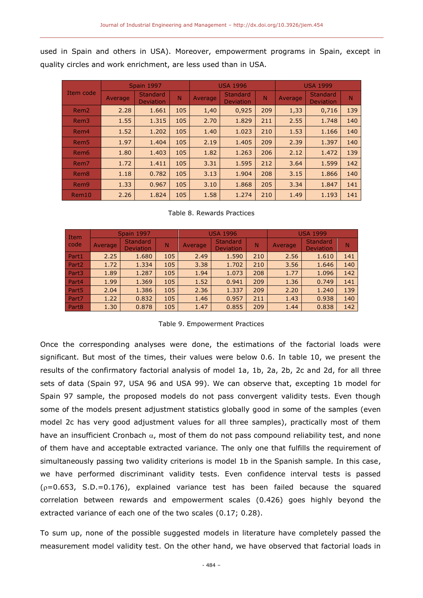used in Spain and others in USA). Moreover, empowerment programs in Spain, except in quality circles and work enrichment, are less used than in USA.

|                  |         | <b>Spain 1997</b>                   |     |         | <b>USA 1996</b>                     |     | <b>USA 1999</b> |                                     |     |  |
|------------------|---------|-------------------------------------|-----|---------|-------------------------------------|-----|-----------------|-------------------------------------|-----|--|
| Item code        | Average | <b>Standard</b><br><b>Deviation</b> | N   | Average | <b>Standard</b><br><b>Deviation</b> | N   | Average         | <b>Standard</b><br><b>Deviation</b> | N   |  |
| Rem <sub>2</sub> | 2.28    | 1.661                               | 105 | 1,40    | 0,925                               | 209 | 1,33            | 0,716                               | 139 |  |
| Rem <sub>3</sub> | 1.55    | 1.315                               | 105 | 2.70    | 1.829                               | 211 | 2.55            | 1.748                               | 140 |  |
| Rem <sub>4</sub> | 1.52    | 1.202                               | 105 | 1.40    | 1.023                               | 210 | 1.53            | 1.166                               | 140 |  |
| Rem <sub>5</sub> | 1.97    | 1.404                               | 105 | 2.19    | 1.405                               | 209 | 2.39            | 1.397                               | 140 |  |
| Rem <sub>6</sub> | 1.80    | 1.403                               | 105 | 1.82    | 1.263                               | 206 | 2.12            | 1.472                               | 139 |  |
| Rem <sub>7</sub> | 1.72    | 1.411                               | 105 | 3.31    | 1.595                               | 212 | 3.64            | 1.599                               | 142 |  |
| Rem <sub>8</sub> | 1.18    | 0.782                               | 105 | 3.13    | 1.904                               | 208 | 3.15            | 1.866                               | 140 |  |
| Rem <sub>9</sub> | 1.33    | 0.967                               | 105 | 3.10    | 1.868                               | 205 | 3.34            | 1.847                               | 141 |  |
| Rem10            | 2.26    | 1.824                               | 105 | 1.58    | 1.274                               | 210 | 1.49            | 1.193                               | 141 |  |

#### Table 8. Rewards Practices

| <b>Item</b>       |         | <b>Spain 1997</b>                   |     |         | <b>USA 1996</b>                     |     | <b>USA 1999</b> |                                     |     |  |
|-------------------|---------|-------------------------------------|-----|---------|-------------------------------------|-----|-----------------|-------------------------------------|-----|--|
| code              | Average | <b>Standard</b><br><b>Deviation</b> | N   | Average | <b>Standard</b><br><b>Deviation</b> | N   | Average         | <b>Standard</b><br><b>Deviation</b> | N   |  |
| Part1             | 2.25    | 1.680                               | 105 | 2.49    | 1.590                               | 210 | 2.56            | 1.610                               | 141 |  |
| Part <sub>2</sub> | 1.72    | 1.334                               | 105 | 3.38    | 1.702                               | 210 | 3.56            | 1.646                               | 140 |  |
| Part <sub>3</sub> | 1.89    | 1.287                               | 105 | 1.94    | 1.073                               | 208 | 1.77            | 1.096                               | 142 |  |
| Part4             | 1.99    | 1.369                               | 105 | 1.52    | 0.941                               | 209 | 1.36            | 0.749                               | 141 |  |
| Part <sub>5</sub> | 2.04    | 1.386                               | 105 | 2.36    | 1.337                               | 209 | 2.20            | 1.240                               | 139 |  |
| Part7             | 1.22    | 0.832                               | 105 | 1.46    | 0.957                               | 211 | 1.43            | 0.938                               | 140 |  |
| Part <sub>8</sub> | 1.30    | 0.878                               | 105 | 1.47    | 0.855                               | 209 | 1.44            | 0.838                               | 142 |  |

#### Table 9. Empowerment Practices

Once the corresponding analyses were done, the estimations of the factorial loads were significant. But most of the times, their values were below 0.6. In table 10, we present the results of the confirmatory factorial analysis of model 1a, 1b, 2a, 2b, 2c and 2d, for all three sets of data (Spain 97, USA 96 and USA 99). We can observe that, excepting 1b model for Spain 97 sample, the proposed models do not pass convergent validity tests. Even though some of the models present adjustment statistics globally good in some of the samples (even model 2c has very good adjustment values for all three samples), practically most of them have an insufficient Cronbach  $\alpha$ , most of them do not pass compound reliability test, and none of them have and acceptable extracted variance. The only one that fulfills the requirement of simultaneously passing two validity criterions is model 1b in the Spanish sample. In this case, we have performed discriminant validity tests. Even confidence interval tests is passed  $(p=0.653, S.D.=0.176)$ , explained variance test has been failed because the squared correlation between rewards and empowerment scales (0.426) goes highly beyond the extracted variance of each one of the two scales (0.17; 0.28).

To sum up, none of the possible suggested models in literature have completely passed the measurement model validity test. On the other hand, we have observed that factorial loads in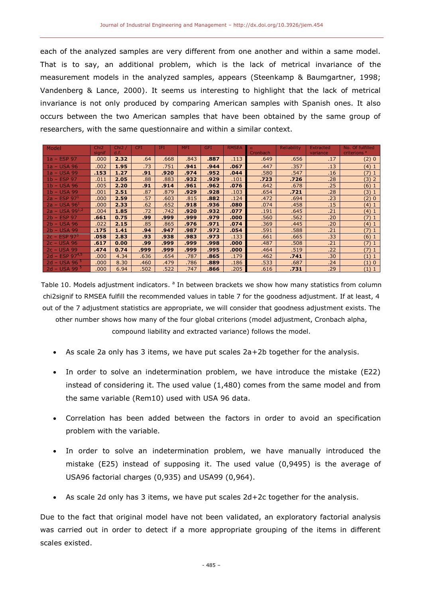each of the analyzed samples are very different from one another and within a same model. That is to say, an additional problem, which is the lack of metrical invariance of the measurement models in the analyzed samples, appears (Steenkamp & Baumgartner, 1998; Vandenberg & Lance, 2000). It seems us interesting to highlight that the lack of metrical invariance is not only produced by comparing American samples with Spanish ones. It also occurs between the two American samples that have been obtained by the same group of researchers, with the same questionnaire and within a similar context.

| Model                         | Chi <sub>2</sub> | Chi2/ | <b>CFI</b> | <b>IFI</b> | <b>MFI</b> | <b>GFI</b> | <b>RMSEA</b> | $\alpha$ | <b>Reliability</b> | <b>Extracted</b> | No. Of fulfilled        |
|-------------------------------|------------------|-------|------------|------------|------------|------------|--------------|----------|--------------------|------------------|-------------------------|
|                               | signif           | d.f.  |            |            |            |            |              | Cronbach |                    | variance         | criterions <sup>a</sup> |
| $1a - ESP$ 97                 | .000             | 2.32  | .64        | .668       | .843       | .887       | .113         | .649     | .656               | .17              | (2)0                    |
| 1a - USA 96                   | .002             | 1.95  | .73        | .751       | .941       | .944       | .067         | .447     | .357               | .13              | (4) 1                   |
| 1a - USA 99                   | .153             | 1.27  | .91        | .920       | .974       | .952       | .044         | .580     | .547               | .16              | (7)1                    |
| $1b - ESP$ 97                 | .011             | 2.05  | .88        | .883       | .932       | .929       | .101         | .723     | .726               | .28              | (3) 2                   |
| $1b - USA$ 96                 | .005             | 2.20  | .91        | .914       | .961       | .962       | .076         | .642     | .678               | .25              | (6) 1                   |
| $1b - USA$ 99                 | .001             | 2.51  | .87        | .879       | .929       | .928       | .103         | .654     | .721               | .28              | (3) 1                   |
| $2a - ESP 971$                | .000             | 2.59  | .57        | .603       | .815       | .882       | .124         | .472     | .694               | .23              | (2) 0                   |
| $2a - USA 961$                | .000             | 2.33  | .62        | .652       | .918       | .936       | .080         | .074     | .458               | .15              | (4) 1                   |
| $2a - USA 99^{1,2}$           | .004             | 1.85  | .72        | .742       | .920       | .932       | .077         | .191     | .645               | .21              | (4) 1                   |
| $2b - ESP$ 97                 | .661             | 0.75  | .99        | .999       | .999       | .979       | .000         | .560     | .562               | .20              | (7)1                    |
| $2b - USA$ 96                 | .022             | 2.15  | .85        | .865       | .976       | .971       | .074         | .369     | .445               | .20              | (4) 1                   |
| $2b - USA$ 99                 | .175             | 1.41  | .94        | .947       | .987       | .972       | .054         | .591     | .588               | .21              | (7)1                    |
| $2c - ESP 973$                | .058             | 2.83  | .93        | .938       | .983       | .973       | .133         | .661     | .665               | .33              | (6) 1                   |
| $2c - USA$ 96                 | .617             | 0.00  | .99        | .999       | .999       | .998       | .000         | .487     | .508               | .21              | (7)1                    |
| $2c - USA$ 99                 | .474             | 0.74  | .999       | .999       | .999       | .995       | .000         | .464     | .519               | .22              | (7) 1                   |
| $12d - ESP$ 97 <sup>4,5</sup> | .000             | 4.34  | .636       | .654       | .787       | .865       | .179         | .462     | .741               | .30              | (1) 1                   |
| $2d - USA$ 96                 | .000             | 8.30  | .460       | .479       | .786       | .889       | .186         | .533     | .687               | .24              | (1)0                    |
| $2d - USA$ 99                 | .000.            | 6.94  | .502       | .522       | .747       | .866       | .205         | .616     | .731               | .29              | (1) 1                   |

Table 10. Models adjustment indicators. <sup>a</sup> In between brackets we show how many statistics from column chi2signif to RMSEA fulfill the recommended values in table 7 for the goodness adjustment. If at least, 4 out of the 7 adjustment statistics are appropriate, we will consider that goodness adjustment exists. The other number shows how many of the four global criterions (model adjustment, Cronbach alpha, compound liability and extracted variance) follows the model.

- As scale 2a only has 3 items, we have put scales 2a+2b together for the analysis.
- In order to solve an indetermination problem, we have introduce the mistake (E22) instead of considering it. The used value (1,480) comes from the same model and from the same variable (Rem10) used with USA 96 data.
- Correlation has been added between the factors in order to avoid an specification problem with the variable.
- In order to solve an indetermination problem, we have manually introduced the mistake (E25) instead of supposing it. The used value (0,9495) is the average of USA96 factorial charges (0,935) and USA99 (0,964).
- As scale 2d only has 3 items, we have put scales 2d+2c together for the analysis.

Due to the fact that original model have not been validated, an exploratory factorial analysis was carried out in order to detect if a more appropriate grouping of the items in different scales existed.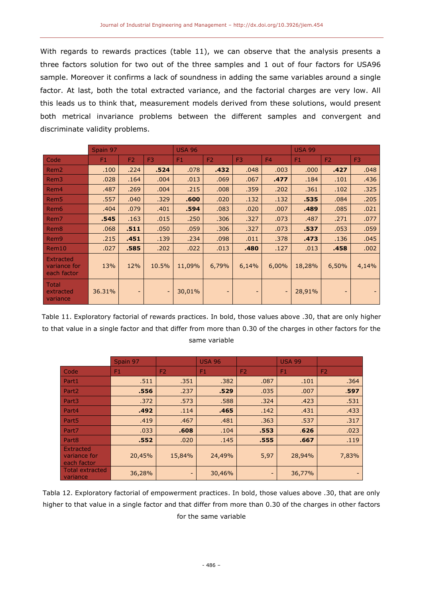With regards to rewards practices (table 11), we can observe that the analysis presents a three factors solution for two out of the three samples and 1 out of four factors for USA96 sample. Moreover it confirms a lack of soundness in adding the same variables around a single factor. At last, both the total extracted variance, and the factorial charges are very low. All this leads us to think that, measurement models derived from these solutions, would present both metrical invariance problems between the different samples and convergent and discriminate validity problems.

|                                          | Spain 97       |                          |       | <b>USA 96</b> | <b>USA 99</b>  |                |                |                |                |                |
|------------------------------------------|----------------|--------------------------|-------|---------------|----------------|----------------|----------------|----------------|----------------|----------------|
| Code                                     | F <sub>1</sub> | F <sub>2</sub>           | F3    | F1            | F <sub>2</sub> | F <sub>3</sub> | F <sub>4</sub> | F <sub>1</sub> | F <sub>2</sub> | F <sub>3</sub> |
| Rem <sub>2</sub>                         | .100           | .224                     | .524  | .078          | .432           | .048           | .003           | .000           | .427           | .048           |
| Rem <sub>3</sub>                         | .028           | .164                     | .004  | .013          | .069           | .067           | .477           | .184           | .101           | .436           |
| Rem4                                     | .487           | .269                     | .004  | .215          | .008           | .359           | .202           | .361           | .102           | .325           |
| Rem <sub>5</sub>                         | .557           | .040                     | .329  | .600          | .020           | .132           | .132           | .535           | .084           | .205           |
| Rem <sub>6</sub>                         | .404           | .079                     | .401  | .594          | .083           | .020           | .007           | .489           | .085           | .021           |
| Rem7                                     | .545           | .163                     | .015  | .250          | .306           | .327           | .073           | .487           | .271           | .077           |
| Rem <sub>8</sub>                         | .068           | .511                     | .050  | .059          | .306           | .327           | .073           | .537           | .053           | .059           |
| Rem <sub>9</sub>                         | .215           | .451                     | .139  | .234          | .098           | .011           | .378           | .473           | .136           | .045           |
| Rem10                                    | .027           | .585                     | .202  | .022          | .013           | .480           | .127           | .013           | .458           | .002           |
| Extracted<br>variance for<br>each factor | 13%            | 12%                      | 10.5% | 11,09%        | 6,79%          | 6,14%          | 6,00%          | 18,28%         | 6,50%          | 4,14%          |
| <b>Total</b><br>extracted<br>variance    | 36.31%         | $\overline{\phantom{0}}$ |       | 30,01%        |                |                |                | 28,91%         |                |                |

Table 11. Exploratory factorial of rewards practices. In bold, those values above .30, that are only higher to that value in a single factor and that differ from more than 0.30 of the charges in other factors for the same variable

|                                          | Spain 97 |                | <b>USA 96</b> |                | <b>USA 99</b> |                |
|------------------------------------------|----------|----------------|---------------|----------------|---------------|----------------|
| Code <sup></sup>                         | F1       | F <sub>2</sub> | F1            | F <sub>2</sub> | F1            | F <sub>2</sub> |
| Part1                                    | .511     | .351           | .382          | .087           | .101          | .364           |
| Part <sub>2</sub>                        | .556     | .237           | .529          | .035           | .007          | .597           |
| Part <sub>3</sub>                        | .372     | .573           | .588          | .324           | .423          | .531           |
| Part4                                    | .492     | .114           | .465          | .142           | .431          | .433           |
| Part <sub>5</sub>                        | .419     | .467           | .481          | .363           | .537          | .317           |
| Part7                                    | .033     | .608           | .104          | .553           | .626          | .023           |
| Part <sub>8</sub>                        | .552     | .020           | .145          | .555           | .667          | .119           |
| Extracted<br>variance for<br>each factor | 20,45%   | 15,84%         | 24,49%        | 5,97           | 28,94%        | 7,83%          |
| <b>Total extracted</b><br>variance       | 36,28%   | -              | 30,46%        | -              | 36,77%        |                |

Tabla 12. Exploratory factorial of empowerment practices. In bold, those values above .30, that are only higher to that value in a single factor and that differ from more than 0.30 of the charges in other factors for the same variable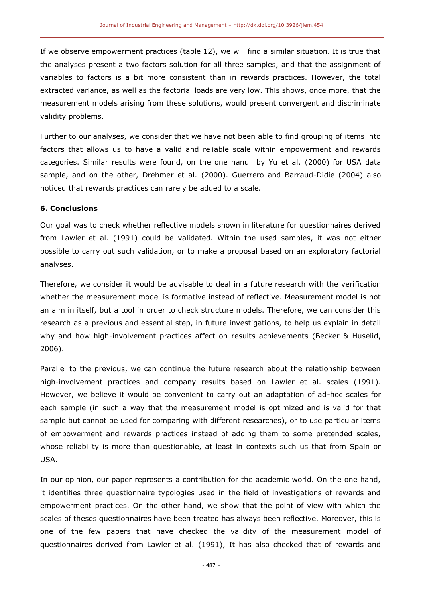If we observe empowerment practices (table 12), we will find a similar situation. It is true that the analyses present a two factors solution for all three samples, and that the assignment of variables to factors is a bit more consistent than in rewards practices. However, the total extracted variance, as well as the factorial loads are very low. This shows, once more, that the measurement models arising from these solutions, would present convergent and discriminate validity problems.

Further to our analyses, we consider that we have not been able to find grouping of items into factors that allows us to have a valid and reliable scale within empowerment and rewards categories. Similar results were found, on the one hand by Yu et al. (2000) for USA data sample, and on the other, Drehmer et al. (2000). Guerrero and Barraud-Didie (2004) also noticed that rewards practices can rarely be added to a scale.

#### **6. Conclusions**

Our goal was to check whether reflective models shown in literature for questionnaires derived from Lawler et al. (1991) could be validated. Within the used samples, it was not either possible to carry out such validation, or to make a proposal based on an exploratory factorial analyses.

Therefore, we consider it would be advisable to deal in a future research with the verification whether the measurement model is formative instead of reflective. Measurement model is not an aim in itself, but a tool in order to check structure models. Therefore, we can consider this research as a previous and essential step, in future investigations, to help us explain in detail why and how high-involvement practices affect on results achievements (Becker & Huselid, 2006).

Parallel to the previous, we can continue the future research about the relationship between high-involvement practices and company results based on Lawler et al. scales (1991). However, we believe it would be convenient to carry out an adaptation of ad-hoc scales for each sample (in such a way that the measurement model is optimized and is valid for that sample but cannot be used for comparing with different researches), or to use particular items of empowerment and rewards practices instead of adding them to some pretended scales, whose reliability is more than questionable, at least in contexts such us that from Spain or USA.

In our opinion, our paper represents a contribution for the academic world. On the one hand, it identifies three questionnaire typologies used in the field of investigations of rewards and empowerment practices. On the other hand, we show that the point of view with which the scales of theses questionnaires have been treated has always been reflective. Moreover, this is one of the few papers that have checked the validity of the measurement model of questionnaires derived from Lawler et al. (1991), It has also checked that of rewards and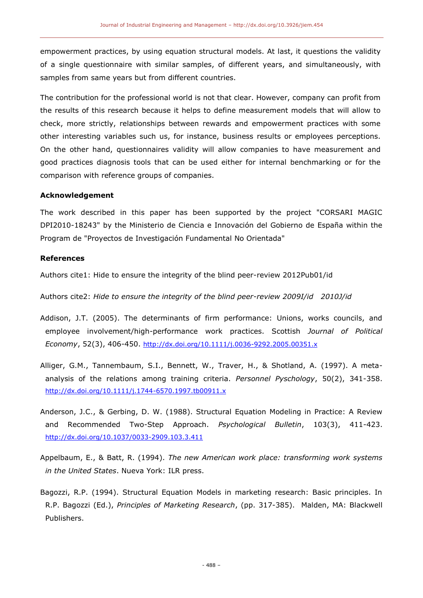empowerment practices, by using equation structural models. At last, it questions the validity of a single questionnaire with similar samples, of different years, and simultaneously, with samples from same years but from different countries.

The contribution for the professional world is not that clear. However, company can profit from the results of this research because it helps to define measurement models that will allow to check, more strictly, relationships between rewards and empowerment practices with some other interesting variables such us, for instance, business results or employees perceptions. On the other hand, questionnaires validity will allow companies to have measurement and good practices diagnosis tools that can be used either for internal benchmarking or for the comparison with reference groups of companies.

#### **Acknowledgement**

The work described in this paper has been supported by the project "CORSARI MAGIC DPI2010-18243" by the Ministerio de Ciencia e Innovación del Gobierno de España within the Program de "Proyectos de Investigación Fundamental No Orientada"

#### **References**

Authors cite1: Hide to ensure the integrity of the blind peer-review 2012Pub01/id

Authors cite2: *Hide to ensure the integrity of the blind peer-review 2009I/id 2010J/id*

- Addison, J.T. (2005). The determinants of firm performance: Unions, works councils, and employee involvement/high-performance work practices. Scottish *Journal of Political Economy*, 52(3), 406-450. <http://dx.doi.org/10.1111/j.0036-9292.2005.00351.x>
- Alliger, G.M., Tannembaum, S.I., Bennett, W., Traver, H., & Shotland, A. (1997). A metaanalysis of the relations among training criteria. *Personnel Pyschology*, 50(2), 341-358. <http://dx.doi.org/10.1111/j.1744-6570.1997.tb00911.x>
- Anderson, J.C., & Gerbing, D. W. (1988). Structural Equation Modeling in Practice: A Review and Recommended Two-Step Approach. *Psychological Bulletin*, 103(3), 411-423. <http://dx.doi.org/10.1037/0033-2909.103.3.411>
- Appelbaum, E., & Batt, R. (1994). *The new American work place: transforming work systems in the United States*. Nueva York: ILR press.
- Bagozzi, R.P. (1994). Structural Equation Models in marketing research: Basic principles. In R.P. Bagozzi (Ed.), *Principles of Marketing Research*, (pp. 317-385). Malden, MA: Blackwell Publishers.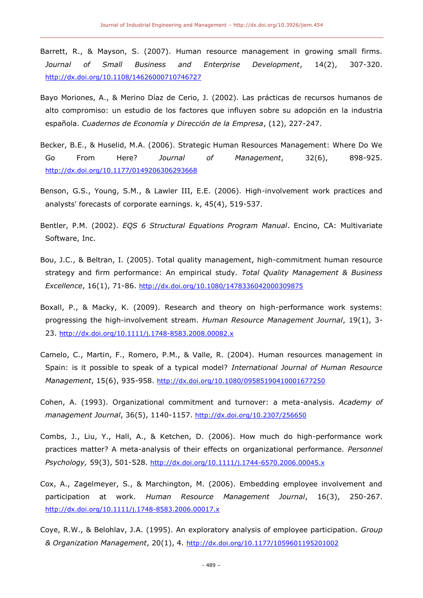- Barrett, R., & Mayson, S. (2007). Human resource management in growing small firms. *Journal of Small Business and Enterprise Development*, 14(2), 307-320. <http://dx.doi.org/10.1108/14626000710746727>
- Bayo Moriones, A., & Merino Díaz de Cerio, J. (2002). Las prácticas de recursos humanos de alto compromiso: un estudio de los factores que influyen sobre su adopción en la industria española. *Cuadernos de Economía y Dirección de la Empresa*, (12), 227-247.
- Becker, B.E., & Huselid, M.A. (2006). Strategic Human Resources Management: Where Do We Go From Here? *Journal of Management*, 32(6), 898-925. <http://dx.doi.org/10.1177/0149206306293668>
- Benson, G.S., Young, S.M., & Lawler III, E.E. (2006). High-involvement work practices and analysts' forecasts of corporate earnings. k, 45(4), 519-537.
- Bentler, P.M. (2002). *EQS 6 Structural Equations Program Manual*. Encino, CA: Multivariate Software, Inc.
- Bou, J.C., & Beltran, I. (2005). Total quality management, high-commitment human resource strategy and firm performance: An empirical study. *Total Quality Management & Business Excellence*, 16(1), 71-86. <http://dx.doi.org/10.1080/1478336042000309875>
- Boxall, P., & Macky, K. (2009). Research and theory on high-performance work systems: progressing the high-involvement stream. *Human Resource Management Journal*, 19(1), 3- 23. <http://dx.doi.org/10.1111/j.1748-8583.2008.00082.x>
- Camelo, C., Martin, F., Romero, P.M., & Valle, R. (2004). Human resources management in Spain: is it possible to speak of a typical model? *International Journal of Human Resource Management*, 15(6), 935-958. <http://dx.doi.org/10.1080/09585190410001677250>
- Cohen, A. (1993). Organizational commitment and turnover: a meta-analysis. *Academy of management Journal*, 36(5), 1140-1157. <http://dx.doi.org/10.2307/256650>
- Combs, J., Liu, Y., Hall, A., & Ketchen, D. (2006). How much do high-performance work practices matter? A meta-analysis of their effects on organizational performance. *Personnel Psychology,* 59(3), 501-528. <http://dx.doi.org/10.1111/j.1744-6570.2006.00045.x>
- Cox, A., Zagelmeyer, S., & Marchington, M. (2006). Embedding employee involvement and participation at work. *Human Resource Management Journal*, 16(3), 250-267. <http://dx.doi.org/10.1111/j.1748-8583.2006.00017.x>
- Coye, R.W., & Belohlav, J.A. (1995). An exploratory analysis of employee participation. *Group & Organization Management*, 20(1), 4. <http://dx.doi.org/10.1177/1059601195201002>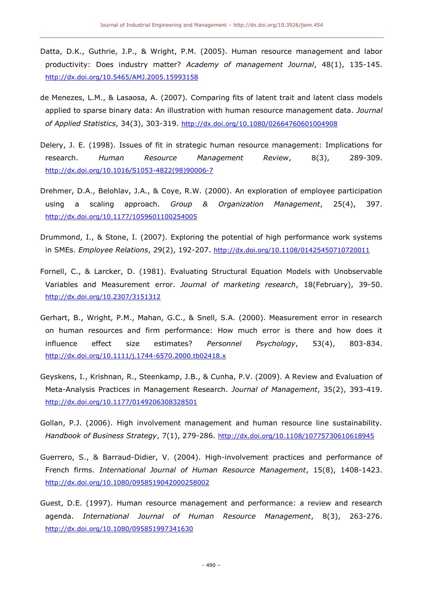- Datta, D.K., Guthrie, J.P., & Wright, P.M. (2005). Human resource management and labor productivity: Does industry matter? *Academy of management Journal*, 48(1), 135-145. <http://dx.doi.org/10.5465/AMJ.2005.15993158>
- de Menezes, L.M., & Lasaosa, A. (2007). Comparing fits of latent trait and latent class models applied to sparse binary data: An illustration with human resource management data. *Journal of Applied Statistics*, 34(3), 303-319. <http://dx.doi.org/10.1080/02664760601004908>
- Delery, J. E. (1998). Issues of fit in strategic human resource management: Implications for research. *Human Resource Management Review*, 8(3), 289-309. [http://dx.doi.org/10.1016/S1053-4822\(98\)90006-7](http://dx.doi.org/10.1016/S1053-4822(98)90006-7)
- Drehmer, D.A., Belohlav, J.A., & Coye, R.W. (2000). An exploration of employee participation using a scaling approach. *Group & Organization Management*, 25(4), 397. <http://dx.doi.org/10.1177/1059601100254005>
- Drummond, I., & Stone, I. (2007). Exploring the potential of high performance work systems in SMEs. *Employee Relations*, 29(2), 192-207. <http://dx.doi.org/10.1108/01425450710720011>
- Fornell, C., & Larcker, D. (1981). Evaluating Structural Equation Models with Unobservable Variables and Measurement error. *Journal of marketing research*, 18(February), 39-50. <http://dx.doi.org/10.2307/3151312>
- Gerhart, B., Wright, P.M., Mahan, G.C., & Snell, S.A. (2000). Measurement error in research on human resources and firm performance: How much error is there and how does it influence effect size estimates? *Personnel Psychology*, 53(4), 803-834. <http://dx.doi.org/10.1111/j.1744-6570.2000.tb02418.x>
- Geyskens, I., Krishnan, R., Steenkamp, J.B., & Cunha, P.V. (2009). A Review and Evaluation of Meta-Analysis Practices in Management Research. *Journal of Management*, 35(2), 393-419. <http://dx.doi.org/10.1177/0149206308328501>
- Gollan, P.J. (2006). High involvement management and human resource line sustainability. *Handbook of Business Strategy*, 7(1), 279-286. <http://dx.doi.org/10.1108/10775730610618945>
- Guerrero, S., & Barraud-Didier, V. (2004). High-involvement practices and performance of French firms. *International Journal of Human Resource Management*, 15(8), 1408-1423. <http://dx.doi.org/10.1080/0958519042000258002>
- Guest, D.E. (1997). Human resource management and performance: a review and research agenda. *International Journal of Human Resource Management*, 8(3), 263-276. <http://dx.doi.org/10.1080/095851997341630>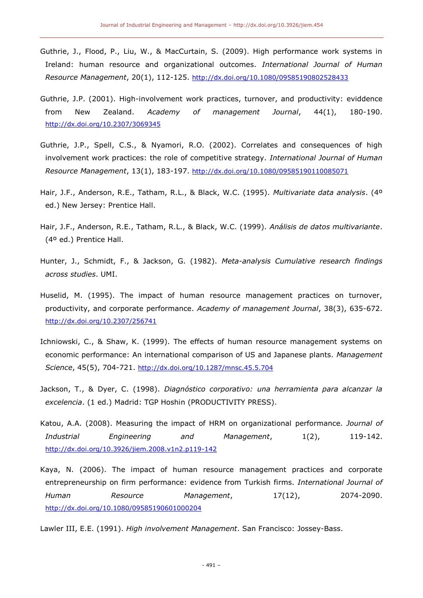- Guthrie, J., Flood, P., Liu, W., & MacCurtain, S. (2009). High performance work systems in Ireland: human resource and organizational outcomes. *International Journal of Human Resource Management*, 20(1), 112-125. <http://dx.doi.org/10.1080/09585190802528433>
- Guthrie, J.P. (2001). High-involvement work practices, turnover, and productivity: eviddence from New Zealand. *Academy of management Journal*, 44(1), 180-190. <http://dx.doi.org/10.2307/3069345>
- Guthrie, J.P., Spell, C.S., & Nyamori, R.O. (2002). Correlates and consequences of high involvement work practices: the role of competitive strategy. *International Journal of Human Resource Management*, 13(1), 183-197. <http://dx.doi.org/10.1080/09585190110085071>
- Hair, J.F., Anderson, R.E., Tatham, R.L., & Black, W.C. (1995). *Multivariate data analysis*. (4º ed.) New Jersey: Prentice Hall.
- Hair, J.F., Anderson, R.E., Tatham, R.L., & Black, W.C. (1999). *Análisis de datos multivariante*. (4º ed.) Prentice Hall.
- Hunter, J., Schmidt, F., & Jackson, G. (1982). *Meta-analysis Cumulative research findings across studies*. UMI.
- Huselid, M. (1995). The impact of human resource management practices on turnover, productivity, and corporate performance. *Academy of management Journal*, 38(3), 635-672. <http://dx.doi.org/10.2307/256741>
- Ichniowski, C., & Shaw, K. (1999). The effects of human resource management systems on economic performance: An international comparison of US and Japanese plants. *Management Science*, 45(5), 704-721. <http://dx.doi.org/10.1287/mnsc.45.5.704>
- Jackson, T., & Dyer, C. (1998). *Diagnóstico corporativo: una herramienta para alcanzar la excelencia*. (1 ed.) Madrid: TGP Hoshin (PRODUCTIVITY PRESS).
- Katou, A.A. (2008). Measuring the impact of HRM on organizational performance. *Journal of Industrial Engineering and Management*, 1(2), 119-142. <http://dx.doi.org/10.3926/jiem.2008.v1n2.p119-142>
- Kaya, N. (2006). The impact of human resource management practices and corporate entrepreneurship on firm performance: evidence from Turkish firms. *International Journal of Human Resource Management*, 17(12), 2074-2090. <http://dx.doi.org/10.1080/09585190601000204>

Lawler III, E.E. (1991). *High involvement Management*. San Francisco: Jossey-Bass.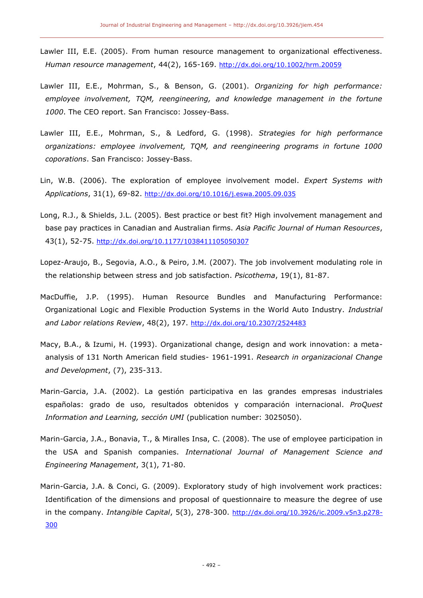- Lawler III, E.E. (2005). From human resource management to organizational effectiveness. *Human resource management*, 44(2), 165-169. <http://dx.doi.org/10.1002/hrm.20059>
- Lawler III, E.E., Mohrman, S., & Benson, G. (2001). *Organizing for high performance: employee involvement, TQM, reengineering, and knowledge management in the fortune 1000*. The CEO report. San Francisco: Jossey-Bass.
- Lawler III, E.E., Mohrman, S., & Ledford, G. (1998). *Strategies for high performance organizations: employee involvement, TQM, and reengineering programs in fortune 1000 coporations*. San Francisco: Jossey-Bass.
- Lin, W.B. (2006). The exploration of employee involvement model. *Expert Systems with Applications*, 31(1), 69-82. <http://dx.doi.org/10.1016/j.eswa.2005.09.035>
- Long, R.J., & Shields, J.L. (2005). Best practice or best fit? High involvement management and base pay practices in Canadian and Australian firms. *Asia Pacific Journal of Human Resources*, 43(1), 52-75. <http://dx.doi.org/10.1177/1038411105050307>
- Lopez-Araujo, B., Segovia, A.O., & Peiro, J.M. (2007). The job involvement modulating role in the relationship between stress and job satisfaction. *Psicothema*, 19(1), 81-87.
- MacDuffie, J.P. (1995). Human Resource Bundles and Manufacturing Performance: Organizational Logic and Flexible Production Systems in the World Auto Industry. *Industrial and Labor relations Review*, 48(2), 197. <http://dx.doi.org/10.2307/2524483>
- Macy, B.A., & Izumi, H. (1993). Organizational change, design and work innovation: a metaanalysis of 131 North American field studies- 1961-1991. *Research in organizacional Change and Development*, (7), 235-313.
- Marin-Garcia, J.A. (2002). La gestión participativa en las grandes empresas industriales españolas: grado de uso, resultados obtenidos y comparación internacional. *ProQuest Information and Learning, sección UMI* (publication number: 3025050).
- Marin-Garcia, J.A., Bonavia, T., & Miralles Insa, C. (2008). The use of employee participation in the USA and Spanish companies. *International Journal of Management Science and Engineering Management*, 3(1), 71-80.
- Marin-Garcia, J.A. & Conci, G. (2009). Exploratory study of high involvement work practices: Identification of the dimensions and proposal of questionnaire to measure the degree of use in the company. *Intangible Capital*, 5(3), 278-300. [http://dx.doi.org/10.3926/ic.2009.v5n3.p278-](http://dx.doi.org/10.3926/ic.2009.v5n3.p278-300) [300](http://dx.doi.org/10.3926/ic.2009.v5n3.p278-300)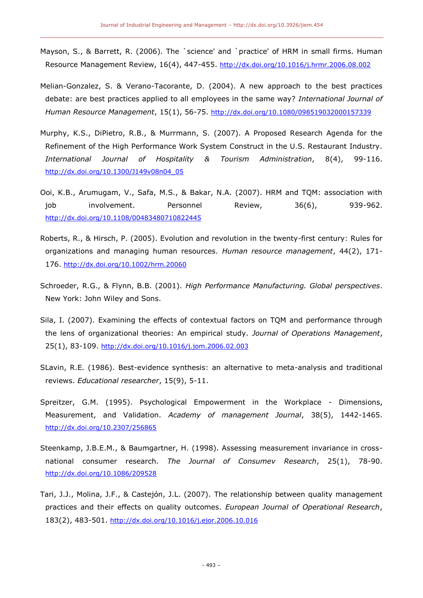- Mayson, S., & Barrett, R. (2006). The `science' and `practice' of HRM in small firms. Human Resource Management Review, 16(4), 447-455. <http://dx.doi.org/10.1016/j.hrmr.2006.08.002>
- Melian-Gonzalez, S. & Verano-Tacorante, D. (2004). A new approach to the best practices debate: are best practices applied to all employees in the same way? *International Journal of Human Resource Management*, 15(1), 56-75. <http://dx.doi.org/10.1080/098519032000157339>
- Murphy, K.S., DiPietro, R.B., & Murrmann, S. (2007). A Proposed Research Agenda for the Refinement of the High Performance Work System Construct in the U.S. Restaurant Industry. *International Journal of Hospitality & Tourism Administration*, 8(4), 99-116. [http://dx.doi.org/10.1300/J149v08n04\\_05](http://dx.doi.org/10.1300/J149v08n04_05)
- Ooi, K.B., Arumugam, V., Safa, M.S., & Bakar, N.A. (2007). HRM and TQM: association with job involvement. Personnel Review, 36(6), 939-962. <http://dx.doi.org/10.1108/00483480710822445>
- Roberts, R., & Hirsch, P. (2005). Evolution and revolution in the twenty-first century: Rules for organizations and managing human resources. *Human resource management*, 44(2), 171- 176. <http://dx.doi.org/10.1002/hrm.20060>
- Schroeder, R.G., & Flynn, B.B. (2001). *High Performance Manufacturing. Global perspectives*. New York: John Wiley and Sons.
- Sila, I. (2007). Examining the effects of contextual factors on TQM and performance through the lens of organizational theories: An empirical study. *Journal of Operations Management*, 25(1), 83-109. <http://dx.doi.org/10.1016/j.jom.2006.02.003>
- SLavin, R.E. (1986). Best-evidence synthesis: an alternative to meta-analysis and traditional reviews. *Educational researcher*, 15(9), 5-11.
- Spreitzer, G.M. (1995). Psychological Empowerment in the Workplace Dimensions, Measurement, and Validation. *Academy of management Journal*, 38(5), 1442-1465. <http://dx.doi.org/10.2307/256865>
- Steenkamp, J.B.E.M., & Baumgartner, H. (1998). Assessing measurement invariance in crossnational consumer research. *The Journal of Consumev Research*, 25(1), 78-90. <http://dx.doi.org/10.1086/209528>
- Tari, J.J., Molina, J.F., & Castejón, J.L. (2007). The relationship between quality management practices and their effects on quality outcomes. *European Journal of Operational Research*, 183(2), 483-501. <http://dx.doi.org/10.1016/j.ejor.2006.10.016>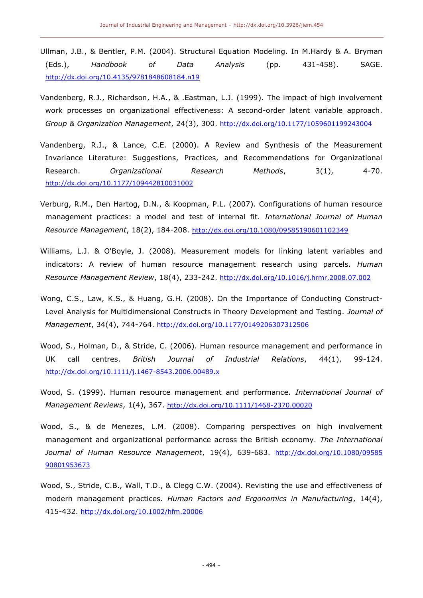- Ullman, J.B., & Bentler, P.M. (2004). Structural Equation Modeling. In M.Hardy & A. Bryman (Eds.), *Handbook of Data Analysis* (pp. 431-458). SAGE. <http://dx.doi.org/10.4135/9781848608184.n19>
- Vandenberg, R.J., Richardson, H.A., & .Eastman, L.J. (1999). The impact of high involvement work processes on organizational effectiveness: A second-order latent variable approach. *Group & Organization Management*, 24(3), 300. <http://dx.doi.org/10.1177/1059601199243004>
- Vandenberg, R.J., & Lance, C.E. (2000). A Review and Synthesis of the Measurement Invariance Literature: Suggestions, Practices, and Recommendations for Organizational Research. *Organizational Research Methods*, 3(1), 4-70. <http://dx.doi.org/10.1177/109442810031002>
- Verburg, R.M., Den Hartog, D.N., & Koopman, P.L. (2007). Configurations of human resource management practices: a model and test of internal fit. *International Journal of Human Resource Management*, 18(2), 184-208. <http://dx.doi.org/10.1080/09585190601102349>
- Williams, L.J. & O'Boyle, J. (2008). Measurement models for linking latent variables and indicators: A review of human resource management research using parcels. *Human Resource Management Review*, 18(4), 233-242. <http://dx.doi.org/10.1016/j.hrmr.2008.07.002>
- Wong, C.S., Law, K.S., & Huang, G.H. (2008). On the Importance of Conducting Construct-Level Analysis for Multidimensional Constructs in Theory Development and Testing. *Journal of Management*, 34(4), 744-764. <http://dx.doi.org/10.1177/0149206307312506>
- Wood, S., Holman, D., & Stride, C. (2006). Human resource management and performance in UK call centres. *British Journal of Industrial Relations*, 44(1), 99-124. <http://dx.doi.org/10.1111/j.1467-8543.2006.00489.x>
- Wood, S. (1999). Human resource management and performance. *International Journal of Management Reviews*, 1(4), 367. <http://dx.doi.org/10.1111/1468-2370.00020>
- Wood, S., & de Menezes, L.M. (2008). Comparing perspectives on high involvement management and organizational performance across the British economy. *The International Journal of Human Resource Management*, 19(4), 639-683. [http://dx.doi.org/10.1080/09585](http://dx.doi.org/10.1080/09585%2090801953673)  [90801953673](http://dx.doi.org/10.1080/09585%2090801953673)
- Wood, S., Stride, C.B., Wall, T.D., & Clegg C.W. (2004). Revisting the use and effectiveness of modern management practices. *Human Factors and Ergonomics in Manufacturing*, 14(4), 415-432. <http://dx.doi.org/10.1002/hfm.20006>